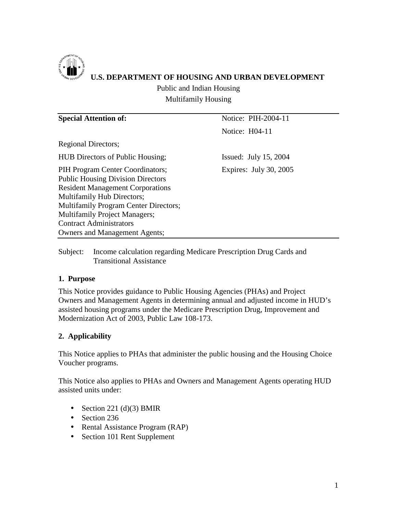

## **U.S. DEPARTMENT OF HOUSING AND URBAN DEVELOPMENT**

Public and Indian Housing Multifamily Housing

| <b>Special Attention of:</b>                                                                                                                                                                                                                                                                                            | Notice: PIH-2004-11     |  |  |
|-------------------------------------------------------------------------------------------------------------------------------------------------------------------------------------------------------------------------------------------------------------------------------------------------------------------------|-------------------------|--|--|
|                                                                                                                                                                                                                                                                                                                         | Notice: H04-11          |  |  |
| <b>Regional Directors;</b>                                                                                                                                                                                                                                                                                              |                         |  |  |
| <b>HUB Directors of Public Housing;</b>                                                                                                                                                                                                                                                                                 | Issued: July $15, 2004$ |  |  |
| PIH Program Center Coordinators;<br><b>Public Housing Division Directors</b><br><b>Resident Management Corporations</b><br>Multifamily Hub Directors;<br><b>Multifamily Program Center Directors;</b><br><b>Multifamily Project Managers;</b><br><b>Contract Administrators</b><br><b>Owners and Management Agents;</b> | Expires: July 30, 2005  |  |  |

Subject: Income calculation regarding Medicare Prescription Drug Cards and Transitional Assistance

#### **1. Purpose**

This Notice provides guidance to Public Housing Agencies (PHAs) and Project Owners and Management Agents in determining annual and adjusted income in HUD's assisted housing programs under the Medicare Prescription Drug, Improvement and Modernization Act of 2003, Public Law 108-173.

### **2. Applicability**

This Notice applies to PHAs that administer the public housing and the Housing Choice Voucher programs.

This Notice also applies to PHAs and Owners and Management Agents operating HUD assisted units under:

- Section 221 (d)(3) BMIR
- Section 236
- Rental Assistance Program (RAP)
- Section 101 Rent Supplement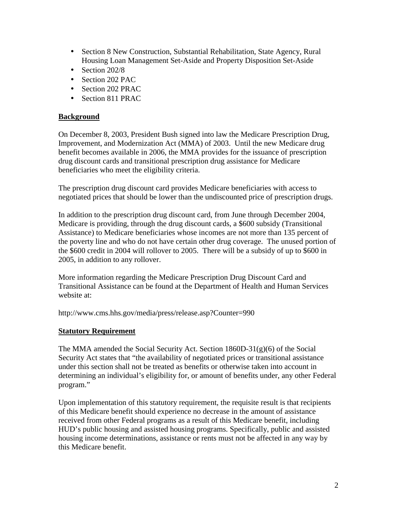- Section 8 New Construction, Substantial Rehabilitation, State Agency, Rural Housing Loan Management Set-Aside and Property Disposition Set-Aside
- Section 202/8
- Section 202 PAC
- Section 202 PRAC
- Section 811 PRAC

#### **Background**

On December 8, 2003, President Bush signed into law the Medicare Prescription Drug, Improvement, and Modernization Act (MMA) of 2003. Until the new Medicare drug benefit becomes available in 2006, the MMA provides for the issuance of prescription drug discount cards and transitional prescription drug assistance for Medicare beneficiaries who meet the eligibility criteria.

The prescription drug discount card provides Medicare beneficiaries with access to negotiated prices that should be lower than the undiscounted price of prescription drugs.

In addition to the prescription drug discount card, from June through December 2004, Medicare is providing, through the drug discount cards, a \$600 subsidy (Transitional Assistance) to Medicare beneficiaries whose incomes are not more than 135 percent of the poverty line and who do not have certain other drug coverage. The unused portion of the \$600 credit in 2004 will rollover to 2005. There will be a subsidy of up to \$600 in 2005, in addition to any rollover.

More information regarding the Medicare Prescription Drug Discount Card and Transitional Assistance can be found at the Department of Health and Human Services website at:

http://www.cms.hhs.gov/media/press/release.asp?Counter=990

#### **Statutory Requirement**

The MMA amended the Social Security Act. Section  $1860D-31(g)(6)$  of the Social Security Act states that "the availability of negotiated prices or transitional assistance under this section shall not be treated as benefits or otherwise taken into account in determining an individual's eligibility for, or amount of benefits under, any other Federal program."

Upon implementation of this statutory requirement, the requisite result is that recipients of this Medicare benefit should experience no decrease in the amount of assistance received from other Federal programs as a result of this Medicare benefit, including HUD's public housing and assisted housing programs. Specifically, public and assisted housing income determinations, assistance or rents must not be affected in any way by this Medicare benefit.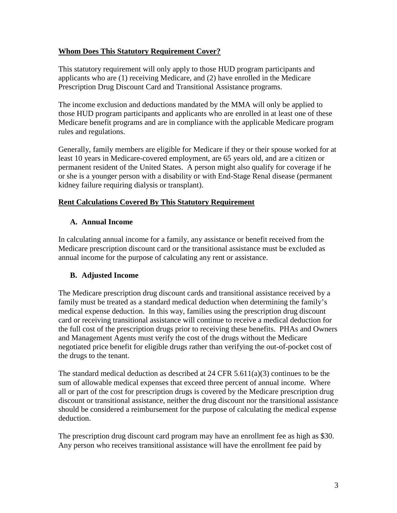#### **Whom Does This Statutory Requirement Cover?**

This statutory requirement will only apply to those HUD program participants and applicants who are (1) receiving Medicare, and (2) have enrolled in the Medicare Prescription Drug Discount Card and Transitional Assistance programs.

The income exclusion and deductions mandated by the MMA will only be applied to those HUD program participants and applicants who are enrolled in at least one of these Medicare benefit programs and are in compliance with the applicable Medicare program rules and regulations.

Generally, family members are eligible for Medicare if they or their spouse worked for at least 10 years in Medicare-covered employment, are 65 years old, and are a citizen or permanent resident of the United States. A person might also qualify for coverage if he or she is a younger person with a disability or with End-Stage Renal disease (permanent kidney failure requiring dialysis or transplant).

#### **Rent Calculations Covered By This Statutory Requirement**

#### **A. Annual Income**

In calculating annual income for a family, any assistance or benefit received from the Medicare prescription discount card or the transitional assistance must be excluded as annual income for the purpose of calculating any rent or assistance.

#### **B. Adjusted Income**

The Medicare prescription drug discount cards and transitional assistance received by a family must be treated as a standard medical deduction when determining the family's medical expense deduction. In this way, families using the prescription drug discount card or receiving transitional assistance will continue to receive a medical deduction for the full cost of the prescription drugs prior to receiving these benefits. PHAs and Owners and Management Agents must verify the cost of the drugs without the Medicare negotiated price benefit for eligible drugs rather than verifying the out-of-pocket cost of the drugs to the tenant.

The standard medical deduction as described at 24 CFR 5.611(a)(3) continues to be the sum of allowable medical expenses that exceed three percent of annual income. Where all or part of the cost for prescription drugs is covered by the Medicare prescription drug discount or transitional assistance, neither the drug discount nor the transitional assistance should be considered a reimbursement for the purpose of calculating the medical expense deduction.

The prescription drug discount card program may have an enrollment fee as high as \$30. Any person who receives transitional assistance will have the enrollment fee paid by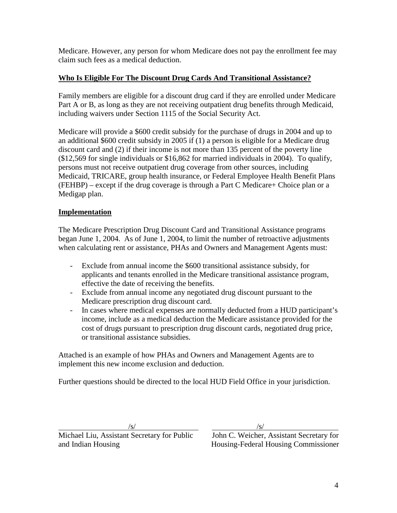Medicare. However, any person for whom Medicare does not pay the enrollment fee may claim such fees as a medical deduction.

#### **Who Is Eligible For The Discount Drug Cards And Transitional Assistance?**

Family members are eligible for a discount drug card if they are enrolled under Medicare Part A or B, as long as they are not receiving outpatient drug benefits through Medicaid, including waivers under Section 1115 of the Social Security Act.

Medicare will provide a \$600 credit subsidy for the purchase of drugs in 2004 and up to an additional \$600 credit subsidy in 2005 if (1) a person is eligible for a Medicare drug discount card and (2) if their income is not more than 135 percent of the poverty line (\$12,569 for single individuals or \$16,862 for married individuals in 2004). To qualify, persons must not receive outpatient drug coverage from other sources, including Medicaid, TRICARE, group health insurance, or Federal Employee Health Benefit Plans (FEHBP) – except if the drug coverage is through a Part C Medicare+ Choice plan or a Medigap plan.

#### **Implementation**

The Medicare Prescription Drug Discount Card and Transitional Assistance programs began June 1, 2004. As of June 1, 2004, to limit the number of retroactive adjustments when calculating rent or assistance, PHAs and Owners and Management Agents must:

- Exclude from annual income the \$600 transitional assistance subsidy, for applicants and tenants enrolled in the Medicare transitional assistance program, effective the date of receiving the benefits.
- Exclude from annual income any negotiated drug discount pursuant to the Medicare prescription drug discount card.
- In cases where medical expenses are normally deducted from a HUD participant's income, include as a medical deduction the Medicare assistance provided for the cost of drugs pursuant to prescription drug discount cards, negotiated drug price, or transitional assistance subsidies.

Attached is an example of how PHAs and Owners and Management Agents are to implement this new income exclusion and deduction.

Further questions should be directed to the local HUD Field Office in your jurisdiction.

Michael Liu, Assistant Secretary for Public John C. Weicher, Assistant Secretary for and Indian Housing Housing-Federal Housing Commissioner

 $\sqrt{s}$ /s/